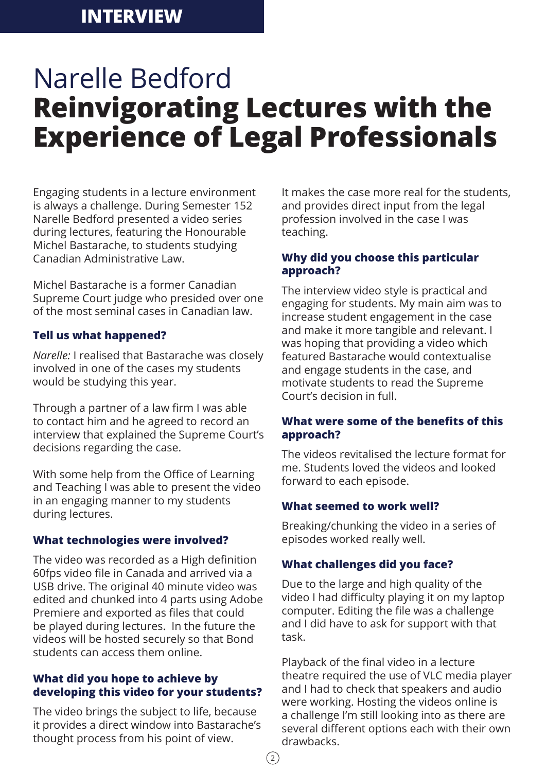# **INTERVIEW**

# Narelle Bedford **Reinvigorating Lectures with the Experience of Legal Professionals**

Engaging students in a lecture environment is always a challenge. During Semester 152 Narelle Bedford presented a video series during lectures, featuring the Honourable Michel Bastarache, to students studying Canadian Administrative Law.

Michel Bastarache is a former Canadian Supreme Court judge who presided over one of the most seminal cases in Canadian law.

### **Tell us what happened?**

*Narelle:* I realised that Bastarache was closely involved in one of the cases my students would be studying this year.

Through a partner of a law firm I was able to contact him and he agreed to record an interview that explained the Supreme Court's decisions regarding the case.

With some help from the Office of Learning and Teaching I was able to present the video in an engaging manner to my students during lectures.

# **What technologies were involved?**

The video was recorded as a High definition 60fps video file in Canada and arrived via a USB drive. The original 40 minute video was edited and chunked into 4 parts using Adobe Premiere and exported as files that could be played during lectures. In the future the videos will be hosted securely so that Bond students can access them online.

### **What did you hope to achieve by developing this video for your students?**

The video brings the subject to life, because it provides a direct window into Bastarache's thought process from his point of view.

It makes the case more real for the students, and provides direct input from the legal profession involved in the case I was teaching.

# **Why did you choose this particular approach?**

The interview video style is practical and engaging for students. My main aim was to increase student engagement in the case and make it more tangible and relevant. I was hoping that providing a video which featured Bastarache would contextualise and engage students in the case, and motivate students to read the Supreme Court's decision in full.

# **What were some of the benefits of this approach?**

The videos revitalised the lecture format for me. Students loved the videos and looked forward to each episode.

#### **What seemed to work well?**

Breaking/chunking the video in a series of episodes worked really well.

# **What challenges did you face?**

Due to the large and high quality of the video I had difficulty playing it on my laptop computer. Editing the file was a challenge and I did have to ask for support with that task.

Playback of the final video in a lecture theatre required the use of VLC media player and I had to check that speakers and audio were working. Hosting the videos online is a challenge I'm still looking into as there are several different options each with their own drawbacks.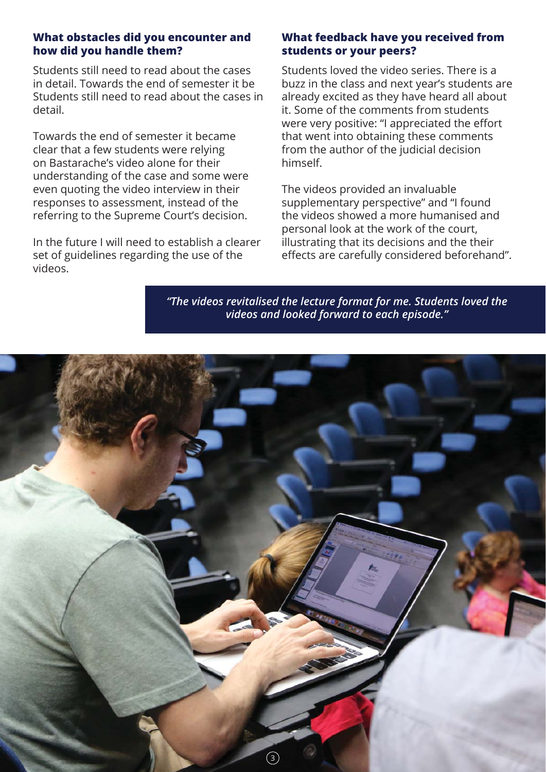### **What obstacles did you encounter and how did you handle them?**

Students still need to read about the cases in detail. Towards the end of semester it be Students still need to read about the cases in detail.

Towards the end of semester it became clear that a few students were relying on Bastarache's video alone for their understanding of the case and some were even quoting the video interview in their responses to assessment, instead of the referring to the Supreme Court's decision.

In the future I will need to establish a clearer set of guidelines regarding the use of the videos.

# **What feedback have you received from students or your peers?**

Students loved the video series. There is a buzz in the class and next year's students are already excited as they have heard all about it. Some of the comments from students were very positive: "I appreciated the effort that went into obtaining these comments from the author of the judicial decision himself.

The videos provided an invaluable supplementary perspective" and "I found the videos showed a more humanised and personal look at the work of the court, illustrating that its decisions and the their effects are carefully considered beforehand".

*"The videos revitalised the lecture format for me. Students loved the videos and looked forward to each episode."*